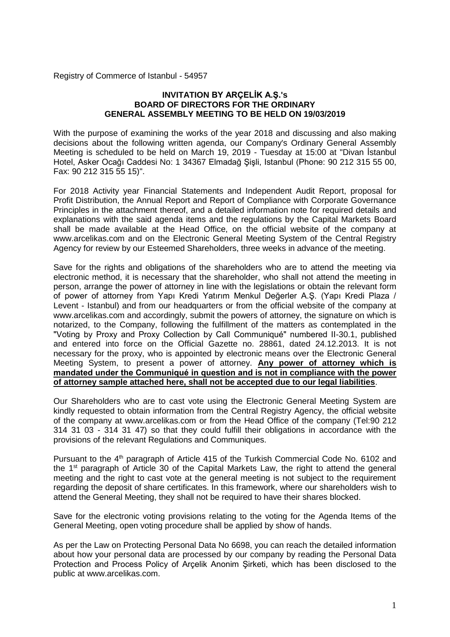Registry of Commerce of Istanbul - 54957

#### **INVITATION BY ARÇELİK A.Ş.'s BOARD OF DIRECTORS FOR THE ORDINARY GENERAL ASSEMBLY MEETING TO BE HELD ON 19/03/2019**

With the purpose of examining the works of the year 2018 and discussing and also making decisions about the following written agenda, our Company's Ordinary General Assembly Meeting is scheduled to be held on March 19, 2019 - Tuesday at 15:00 at "Divan İstanbul Hotel, Asker Ocağı Caddesi No: 1 34367 Elmadağ Şişli, Istanbul (Phone: 90 212 315 55 00, Fax: 90 212 315 55 15)".

For 2018 Activity year Financial Statements and Independent Audit Report, proposal for Profit Distribution, the Annual Report and Report of Compliance with Corporate Governance Principles in the attachment thereof, and a detailed information note for required details and explanations with the said agenda items and the regulations by the Capital Markets Board shall be made available at the Head Office, on the official website of the company at www.arcelikas.com and on the Electronic General Meeting System of the Central Registry Agency for review by our Esteemed Shareholders, three weeks in advance of the meeting.

Save for the rights and obligations of the shareholders who are to attend the meeting via electronic method, it is necessary that the shareholder, who shall not attend the meeting in person, arrange the power of attorney in line with the legislations or obtain the relevant form of power of attorney from Yapı Kredi Yatırım Menkul Değerler A.Ş. (Yapı Kredi Plaza / Levent - Istanbul) and from our headquarters or from the official website of the company at www.arcelikas.com and accordingly, submit the powers of attorney, the signature on which is notarized, to the Company, following the fulfillment of the matters as contemplated in the "Voting by Proxy and Proxy Collection by Call Communiqué" numbered II-30.1, published and entered into force on the Official Gazette no. 28861, dated 24.12.2013. It is not necessary for the proxy, who is appointed by electronic means over the Electronic General Meeting System, to present a power of attorney. **Any power of attorney which is mandated under the Communiqué in question and is not in compliance with the power of attorney sample attached here, shall not be accepted due to our legal liabilities**.

Our Shareholders who are to cast vote using the Electronic General Meeting System are kindly requested to obtain information from the Central Registry Agency, the official website of the company at www.arcelikas.com or from the Head Office of the company (Tel:90 212 314 31 03 - 314 31 47) so that they could fulfill their obligations in accordance with the provisions of the relevant Regulations and Communiques.

Pursuant to the 4<sup>th</sup> paragraph of Article 415 of the Turkish Commercial Code No. 6102 and the 1st paragraph of Article 30 of the Capital Markets Law, the right to attend the general meeting and the right to cast vote at the general meeting is not subject to the requirement regarding the deposit of share certificates. In this framework, where our shareholders wish to attend the General Meeting, they shall not be required to have their shares blocked.

Save for the electronic voting provisions relating to the voting for the Agenda Items of the General Meeting, open voting procedure shall be applied by show of hands.

As per the Law on Protecting Personal Data No 6698, you can reach the detailed information about how your personal data are processed by our company by reading the Personal Data Protection and Process Policy of Arçelik Anonim Şirketi, which has been disclosed to the public at www.arcelikas.com.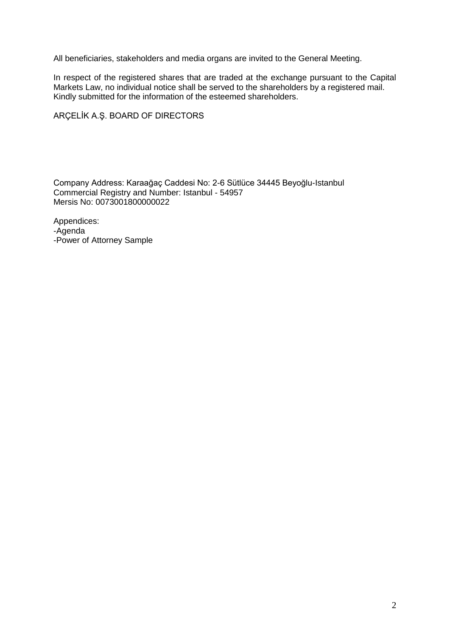All beneficiaries, stakeholders and media organs are invited to the General Meeting.

In respect of the registered shares that are traded at the exchange pursuant to the Capital Markets Law, no individual notice shall be served to the shareholders by a registered mail. Kindly submitted for the information of the esteemed shareholders.

## ARÇELİK A.Ş. BOARD OF DIRECTORS

Company Address: Karaağaç Caddesi No: 2-6 Sütlüce 34445 Beyoğlu-Istanbul Commercial Registry and Number: Istanbul - 54957 Mersis No: 0073001800000022

Appendices: -Agenda -Power of Attorney Sample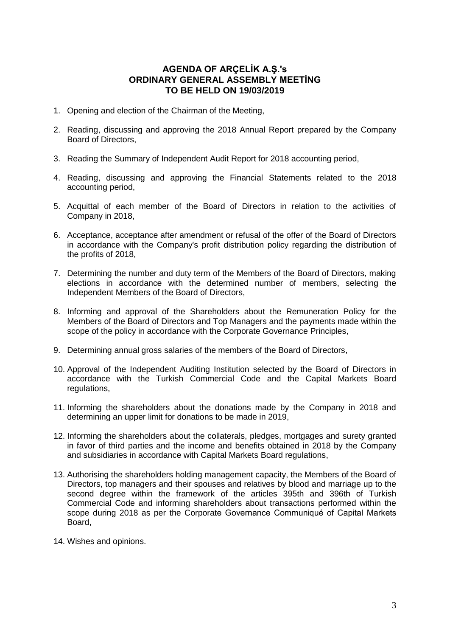# **AGENDA OF ARÇELİK A.Ş.'s ORDINARY GENERAL ASSEMBLY MEETİNG TO BE HELD ON 19/03/2019**

- 1. Opening and election of the Chairman of the Meeting,
- 2. Reading, discussing and approving the 2018 Annual Report prepared by the Company Board of Directors,
- 3. Reading the Summary of Independent Audit Report for 2018 accounting period,
- 4. Reading, discussing and approving the Financial Statements related to the 2018 accounting period,
- 5. Acquittal of each member of the Board of Directors in relation to the activities of Company in 2018,
- 6. Acceptance, acceptance after amendment or refusal of the offer of the Board of Directors in accordance with the Company's profit distribution policy regarding the distribution of the profits of 2018,
- 7. Determining the number and duty term of the Members of the Board of Directors, making elections in accordance with the determined number of members, selecting the Independent Members of the Board of Directors,
- 8. Informing and approval of the Shareholders about the Remuneration Policy for the Members of the Board of Directors and Top Managers and the payments made within the scope of the policy in accordance with the Corporate Governance Principles,
- 9. Determining annual gross salaries of the members of the Board of Directors,
- 10. Approval of the Independent Auditing Institution selected by the Board of Directors in accordance with the Turkish Commercial Code and the Capital Markets Board regulations,
- 11. Informing the shareholders about the donations made by the Company in 2018 and determining an upper limit for donations to be made in 2019,
- 12. Informing the shareholders about the collaterals, pledges, mortgages and surety granted in favor of third parties and the income and benefits obtained in 2018 by the Company and subsidiaries in accordance with Capital Markets Board regulations,
- 13. Authorising the shareholders holding management capacity, the Members of the Board of Directors, top managers and their spouses and relatives by blood and marriage up to the second degree within the framework of the articles 395th and 396th of Turkish Commercial Code and informing shareholders about transactions performed within the scope during 2018 as per the Corporate Governance Communiqué of Capital Markets Board,
- 14. Wishes and opinions.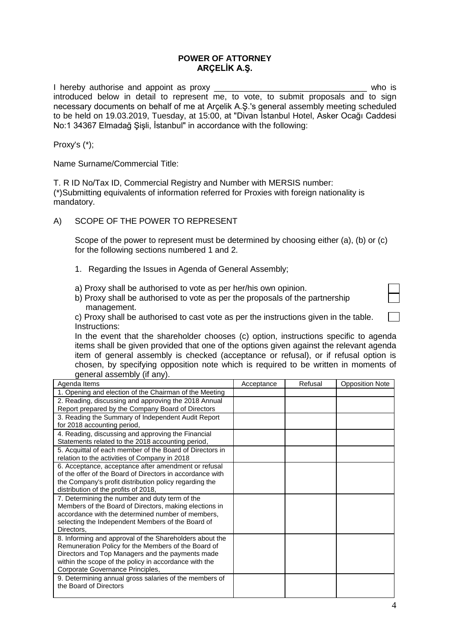#### **POWER OF ATTORNEY ARÇELİK A.Ş.**

I hereby authorise and appoint as proxy **EXALL EXALL EXALL EXALL EXALL EXALL EXALL EXALL EXALL EXALL EXALL EXA** introduced below in detail to represent me, to vote, to submit proposals and to sign necessary documents on behalf of me at Arçelik A.Ş.'s general assembly meeting scheduled to be held on 19.03.2019, Tuesday, at 15:00, at "Divan İstanbul Hotel, Asker Ocağı Caddesi No:1 34367 Elmadağ Şişli, İstanbul" in accordance with the following:

Proxy's (\*);

Name Surname/Commercial Title:

T. R ID No/Tax ID, Commercial Registry and Number with MERSIS number: (\*)Submitting equivalents of information referred for Proxies with foreign nationality is mandatory.

## A) SCOPE OF THE POWER TO REPRESENT

Scope of the power to represent must be determined by choosing either (a), (b) or (c) for the following sections numbered 1 and 2.

- 1. Regarding the Issues in Agenda of General Assembly;
- a) Proxy shall be authorised to vote as per her/his own opinion.
- b) Proxy shall be authorised to vote as per the proposals of the partnership management.

| c) Proxy shall be authorised to cast vote as per the instructions given in the table. |  |
|---------------------------------------------------------------------------------------|--|
| Instructions:                                                                         |  |

In the event that the shareholder chooses (c) option, instructions specific to agenda items shall be given provided that one of the options given against the relevant agenda item of general assembly is checked (acceptance or refusal), or if refusal option is chosen, by specifying opposition note which is required to be written in moments of general assembly (if any).

| Agenda Items                                              | Acceptance | Refusal | <b>Opposition Note</b> |
|-----------------------------------------------------------|------------|---------|------------------------|
| 1. Opening and election of the Chairman of the Meeting    |            |         |                        |
| 2. Reading, discussing and approving the 2018 Annual      |            |         |                        |
| Report prepared by the Company Board of Directors         |            |         |                        |
| 3. Reading the Summary of Independent Audit Report        |            |         |                        |
| for 2018 accounting period,                               |            |         |                        |
| 4. Reading, discussing and approving the Financial        |            |         |                        |
| Statements related to the 2018 accounting period,         |            |         |                        |
| 5. Acquittal of each member of the Board of Directors in  |            |         |                        |
| relation to the activities of Company in 2018             |            |         |                        |
| 6. Acceptance, acceptance after amendment or refusal      |            |         |                        |
| of the offer of the Board of Directors in accordance with |            |         |                        |
| the Company's profit distribution policy regarding the    |            |         |                        |
| distribution of the profits of 2018,                      |            |         |                        |
| 7. Determining the number and duty term of the            |            |         |                        |
| Members of the Board of Directors, making elections in    |            |         |                        |
| accordance with the determined number of members,         |            |         |                        |
| selecting the Independent Members of the Board of         |            |         |                        |
| Directors.                                                |            |         |                        |
| 8. Informing and approval of the Shareholders about the   |            |         |                        |
| Remuneration Policy for the Members of the Board of       |            |         |                        |
| Directors and Top Managers and the payments made          |            |         |                        |
| within the scope of the policy in accordance with the     |            |         |                        |
| Corporate Governance Principles,                          |            |         |                        |
| 9. Determining annual gross salaries of the members of    |            |         |                        |
| the Board of Directors                                    |            |         |                        |
|                                                           |            |         |                        |